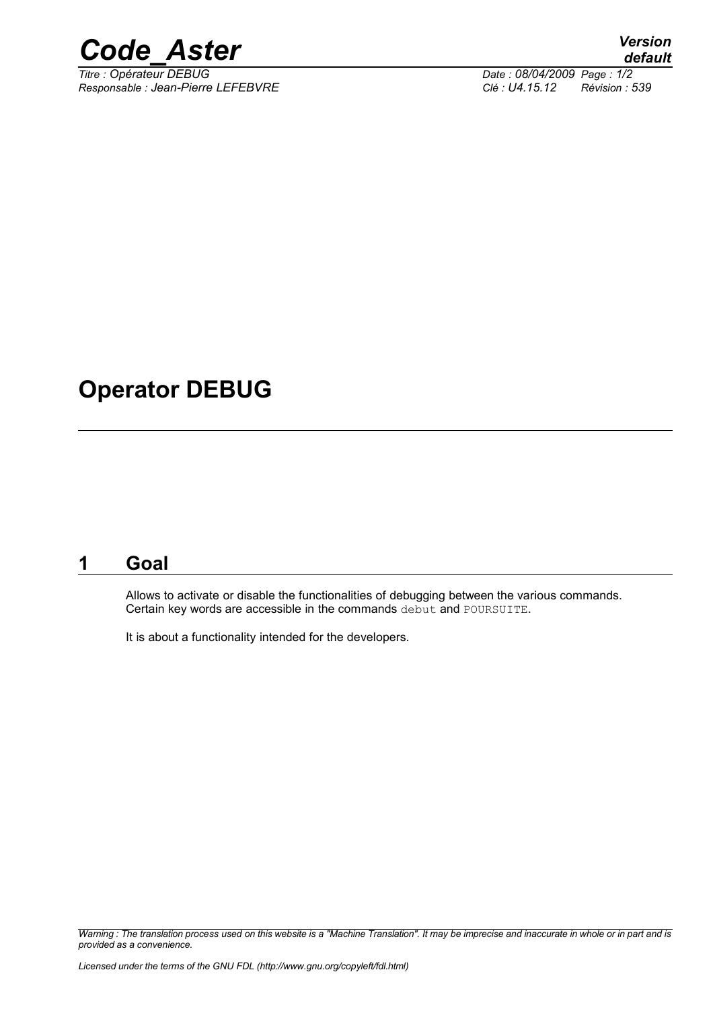

*Responsable : Jean-Pierre LEFEBVRE Clé : U4.15.12 Révision : 539*

*Titre : Opérateur DEBUG Date : 08/04/2009 Page : 1/2*

## **Operator DEBUG**

### **1 Goal**

Allows to activate or disable the functionalities of debugging between the various commands. Certain key words are accessible in the commands debut and POURSUITE.

It is about a functionality intended for the developers.

*Warning : The translation process used on this website is a "Machine Translation". It may be imprecise and inaccurate in whole or in part and is provided as a convenience.*